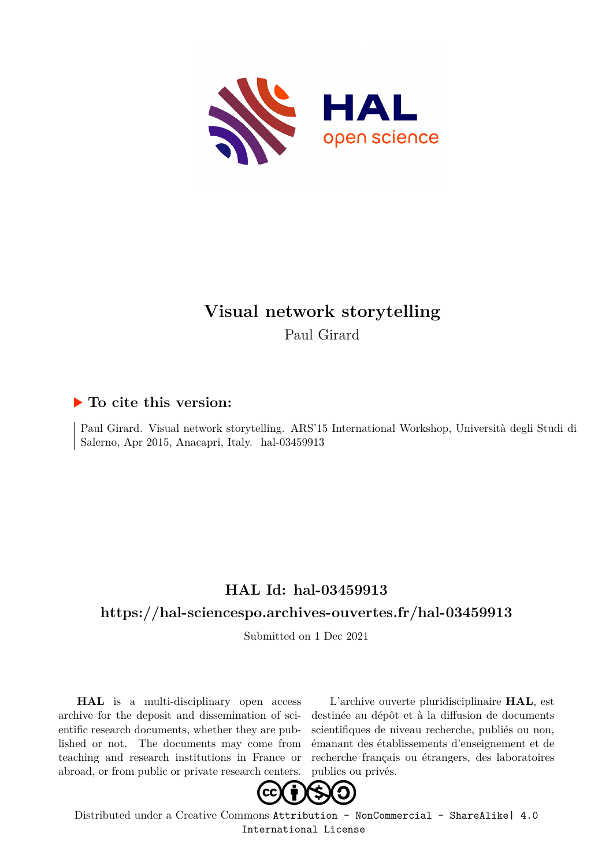

# **Visual network storytelling** Paul Girard

### **To cite this version:**

Paul Girard. Visual network storytelling. ARS'15 International Workshop, Università degli Studi di Salerno, Apr 2015, Anacapri, Italy. hal-03459913

## **HAL Id: hal-03459913**

### **<https://hal-sciencespo.archives-ouvertes.fr/hal-03459913>**

Submitted on 1 Dec 2021

**HAL** is a multi-disciplinary open access archive for the deposit and dissemination of scientific research documents, whether they are published or not. The documents may come from teaching and research institutions in France or abroad, or from public or private research centers.

L'archive ouverte pluridisciplinaire **HAL**, est destinée au dépôt et à la diffusion de documents scientifiques de niveau recherche, publiés ou non, émanant des établissements d'enseignement et de recherche français ou étrangers, des laboratoires publics ou privés.



Distributed under a Creative Commons [Attribution - NonCommercial - ShareAlike| 4.0](http://creativecommons.org/licenses/by-nc-sa/4.0/) [International License](http://creativecommons.org/licenses/by-nc-sa/4.0/)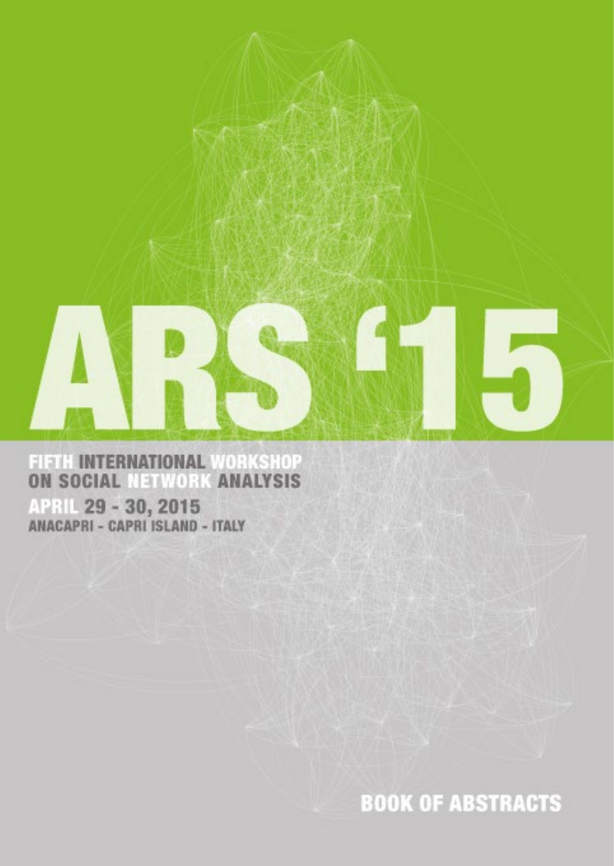

FIFTH INTERNATIONAL WORKSHOP<br>ON SOCIAL NETWORK ANALYSIS **APRIL 29 - 30, 2015**<br>ANACAPRI - CAPRI ISLAND - ITALY

**BOOK OF ABSTRACTS**